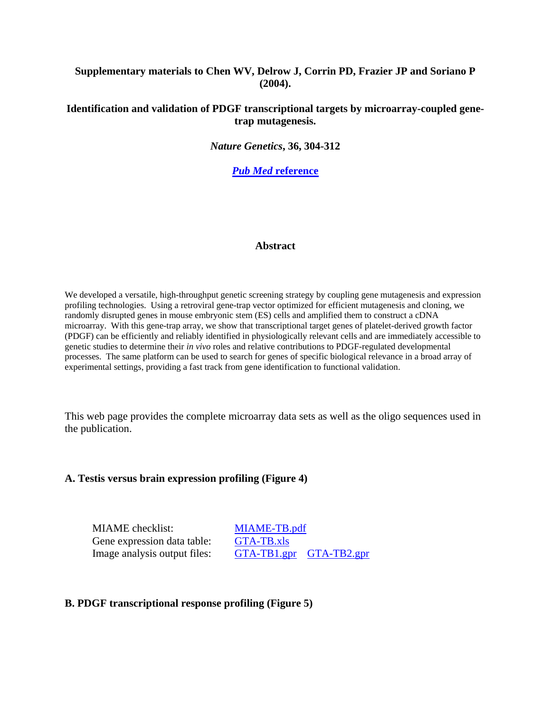## **Supplementary materials to Chen WV, Delrow J, Corrin PD, Frazier JP and Soriano P (2004).**

## **Identification and validation of PDGF transcriptional targets by microarray-coupled genetrap mutagenesis.**

*Nature Genetics***, 36, 304-312**

*Pub Med* **[reference](http://www.ncbi.nlm.nih.gov/entrez/query.fcgi?cmd=Retrieve&db=PubMed&list_uids=14981515&dopt=Abstract)**

#### **Abstract**

We developed a versatile, high-throughput genetic screening strategy by coupling gene mutagenesis and expression profiling technologies. Using a retroviral gene-trap vector optimized for efficient mutagenesis and cloning, we randomly disrupted genes in mouse embryonic stem (ES) cells and amplified them to construct a cDNA microarray. With this gene-trap array, we show that transcriptional target genes of platelet-derived growth factor (PDGF) can be efficiently and reliably identified in physiologically relevant cells and are immediately accessible to genetic studies to determine their *in vivo* roles and relative contributions to PDGF-regulated developmental processes. The same platform can be used to search for genes of specific biological relevance in a broad array of experimental settings, providing a fast track from gene identification to functional validation.

This web page provides the complete microarray data sets as well as the oligo sequences used in the publication.

#### **A. Testis versus brain expression profiling (Figure 4)**

MIAME checklist: [MIAME-TB.pdf](http://authors.fhcrc.org/506/1/MIAME-TB.pdf) Gene expression data table: [GTA-TB.xls](http://authors.fhcrc.org/506/2/GTA-TB.xls)

Image analysis output files: [GTA-TB1.gpr](http://authors.fhcrc.org/506/3/GTA-TB1.gpr) [GTA-TB2.gpr](http://authors.fhcrc.org/506/4/GTA-TB2.gpr)

#### **B. PDGF transcriptional response profiling (Figure 5)**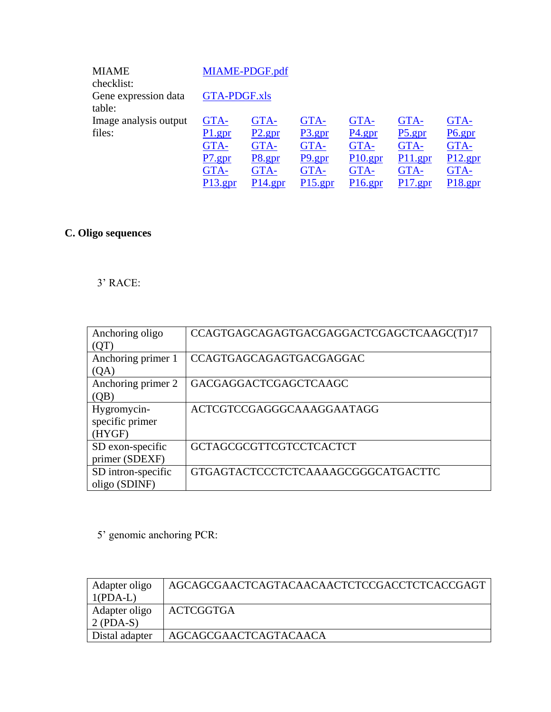| <b>MIAME</b>          |                     | MIAME-PDGF.pdf |            |            |            |            |
|-----------------------|---------------------|----------------|------------|------------|------------|------------|
| checklist:            |                     |                |            |            |            |            |
| Gene expression data  | <b>GTA-PDGF.xls</b> |                |            |            |            |            |
| table:                |                     |                |            |            |            |            |
| Image analysis output | GTA-                | GTA-           | GTA-       | GTA-       | GTA-       | GTA-       |
| files:                | P1.gpr              | P2.gpr         | P3.gpr     | P4.gpr     | P5.gpr     | P6.gpr     |
|                       | GTA-                | GTA-           | GTA-       | GTA-       | GTA-       | GTA-       |
|                       | P7. gpr             | P8.gpr         | $P9.$ gpr  | $P10.$ gpr | P11.gpr    | $P12$ .gpr |
|                       | GTA-                | GTA-           | GTA-       | GTA-       | GTA-       | GTA-       |
|                       | P <sub>13.gpr</sub> | $P14.$ gpr     | $P15.$ gpr | $P16.$ gpr | $P17.$ gpr | P18. gpr   |

# **C. Oligo sequences**

# 3' RACE:

| Anchoring oligo    | CCAGTGAGCAGAGTGACGAGGACTCGAGCTCAAGC(T)17 |
|--------------------|------------------------------------------|
| (QT)               |                                          |
| Anchoring primer 1 | CCAGTGAGCAGAGTGACGAGGAC                  |
| (QA)               |                                          |
| Anchoring primer 2 | GACGAGGACTCGAGCTCAAGC                    |
| (OB)               |                                          |
| Hygromycin-        | ACTCGTCCGAGGGCAAAGGAATAGG                |
| specific primer    |                                          |
| (HYGF)             |                                          |
| SD exon-specific   | <b>GCTAGCGCGTTCGTCCTCACTCT</b>           |
| primer (SDEXF)     |                                          |
| SD intron-specific | GTGAGTACTCCCTCTCAAAAGCGGGCATGACTTC       |
| oligo (SDINF)      |                                          |

5' genomic anchoring PCR:

| Adapter oligo     | AGCAGCGAACTCAGTACAACAACTCTCCGACCTCTCACCGAGT |
|-------------------|---------------------------------------------|
| $1(PDA-L)$        |                                             |
| Adapter oligo     | ACTCGGTGA                                   |
| $\vert$ 2 (PDA-S) |                                             |
| Distal adapter    | AGCAGCGAACTCAGTACAACA                       |